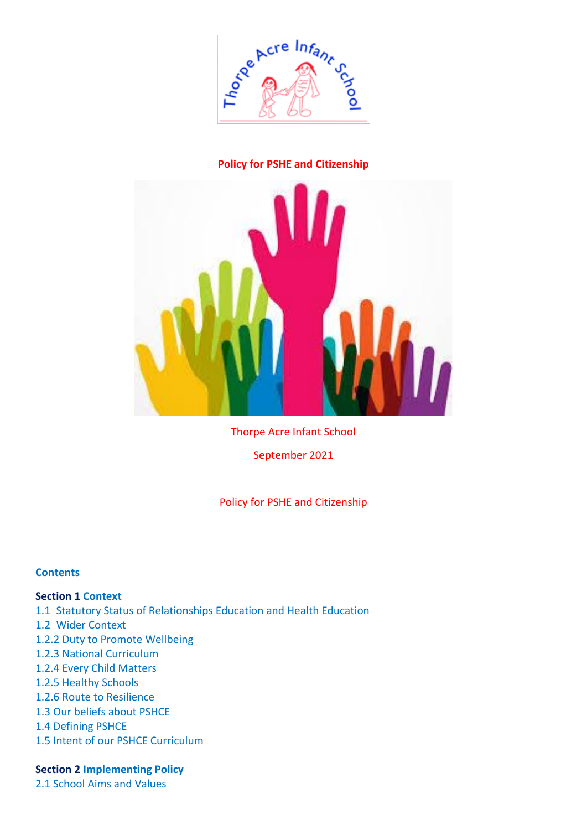

# **Policy for PSHE and Citizenship**



Thorpe Acre Infant School

September 2021

Policy for PSHE and Citizenship

### **Contents**

### **Section 1 Context**

- 1.1 Statutory Status of Relationships Education and Health Education
- 1.2 Wider Context
- 1.2.2 Duty to Promote Wellbeing
- 1.2.3 National Curriculum
- 1.2.4 Every Child Matters
- 1.2.5 Healthy Schools
- 1.2.6 Route to Resilience
- 1.3 Our beliefs about PSHCE
- 1.4 Defining PSHCE
- 1.5 Intent of our PSHCE Curriculum

### **Section 2 Implementing Policy**

2.1 School Aims and Values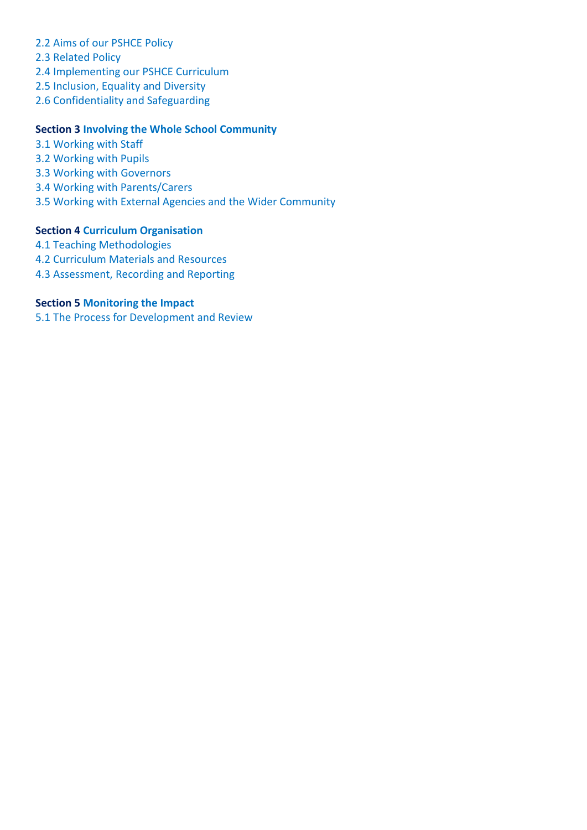- 2.2 Aims of our PSHCE Policy
- 2.3 Related Policy
- 2.4 Implementing our PSHCE Curriculum
- 2.5 Inclusion, Equality and Diversity
- 2.6 Confidentiality and Safeguarding

### **Section 3 Involving the Whole School Community**

- 3.1 Working with Staff
- 3.2 Working with Pupils
- 3.3 Working with Governors
- 3.4 Working with Parents/Carers
- 3.5 Working with External Agencies and the Wider Community

### **Section 4 Curriculum Organisation**

- 4.1 Teaching Methodologies
- 4.2 Curriculum Materials and Resources
- 4.3 Assessment, Recording and Reporting

# **Section 5 Monitoring the Impact**

5.1 The Process for Development and Review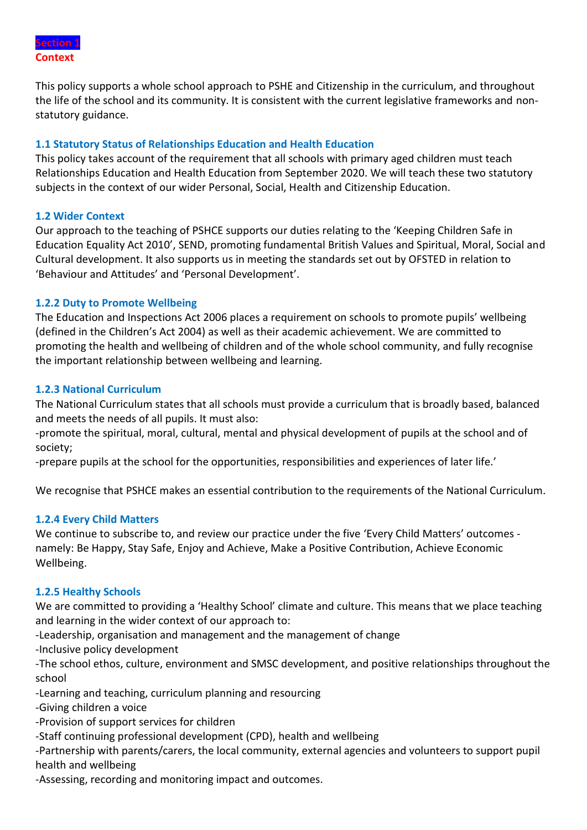

This policy supports a whole school approach to PSHE and Citizenship in the curriculum, and throughout the life of the school and its community. It is consistent with the current legislative frameworks and nonstatutory guidance.

# **1.1 Statutory Status of Relationships Education and Health Education**

This policy takes account of the requirement that all schools with primary aged children must teach Relationships Education and Health Education from September 2020. We will teach these two statutory subjects in the context of our wider Personal, Social, Health and Citizenship Education.

# **1.2 Wider Context**

Our approach to the teaching of PSHCE supports our duties relating to the 'Keeping Children Safe in Education Equality Act 2010', SEND, promoting fundamental British Values and Spiritual, Moral, Social and Cultural development. It also supports us in meeting the standards set out by OFSTED in relation to 'Behaviour and Attitudes' and 'Personal Development'.

# **1.2.2 Duty to Promote Wellbeing**

The Education and Inspections Act 2006 places a requirement on schools to promote pupils' wellbeing (defined in the Children's Act 2004) as well as their academic achievement. We are committed to promoting the health and wellbeing of children and of the whole school community, and fully recognise the important relationship between wellbeing and learning.

# **1.2.3 National Curriculum**

The National Curriculum states that all schools must provide a curriculum that is broadly based, balanced and meets the needs of all pupils. It must also:

-promote the spiritual, moral, cultural, mental and physical development of pupils at the school and of society;

-prepare pupils at the school for the opportunities, responsibilities and experiences of later life.'

We recognise that PSHCE makes an essential contribution to the requirements of the National Curriculum.

### **1.2.4 Every Child Matters**

We continue to subscribe to, and review our practice under the five 'Every Child Matters' outcomes namely: Be Happy, Stay Safe, Enjoy and Achieve, Make a Positive Contribution, Achieve Economic Wellbeing.

### **1.2.5 Healthy Schools**

We are committed to providing a 'Healthy School' climate and culture. This means that we place teaching and learning in the wider context of our approach to:

-Leadership, organisation and management and the management of change

-Inclusive policy development

-The school ethos, culture, environment and SMSC development, and positive relationships throughout the school

-Learning and teaching, curriculum planning and resourcing

-Giving children a voice

-Provision of support services for children

-Staff continuing professional development (CPD), health and wellbeing

-Partnership with parents/carers, the local community, external agencies and volunteers to support pupil health and wellbeing

-Assessing, recording and monitoring impact and outcomes.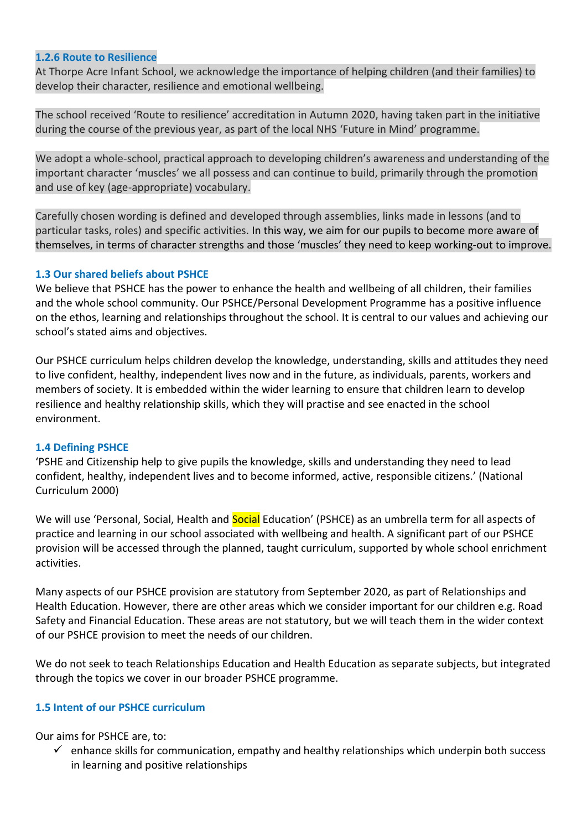#### **1.2.6 Route to Resilience**

At Thorpe Acre Infant School, we acknowledge the importance of helping children (and their families) to develop their character, resilience and emotional wellbeing.

The school received 'Route to resilience' accreditation in Autumn 2020, having taken part in the initiative during the course of the previous year, as part of the local NHS 'Future in Mind' programme.

We adopt a whole-school, practical approach to developing children's awareness and understanding of the important character 'muscles' we all possess and can continue to build, primarily through the promotion and use of key (age-appropriate) vocabulary.

Carefully chosen wording is defined and developed through assemblies, links made in lessons (and to particular tasks, roles) and specific activities. In this way, we aim for our pupils to become more aware of themselves, in terms of character strengths and those 'muscles' they need to keep working-out to improve.

### **1.3 Our shared beliefs about PSHCE**

We believe that PSHCE has the power to enhance the health and wellbeing of all children, their families and the whole school community. Our PSHCE/Personal Development Programme has a positive influence on the ethos, learning and relationships throughout the school. It is central to our values and achieving our school's stated aims and objectives.

Our PSHCE curriculum helps children develop the knowledge, understanding, skills and attitudes they need to live confident, healthy, independent lives now and in the future, as individuals, parents, workers and members of society. It is embedded within the wider learning to ensure that children learn to develop resilience and healthy relationship skills, which they will practise and see enacted in the school environment.

### **1.4 Defining PSHCE**

'PSHE and Citizenship help to give pupils the knowledge, skills and understanding they need to lead confident, healthy, independent lives and to become informed, active, responsible citizens.' (National Curriculum 2000)

We will use 'Personal, Social, Health and **Social** Education' (PSHCE) as an umbrella term for all aspects of practice and learning in our school associated with wellbeing and health. A significant part of our PSHCE provision will be accessed through the planned, taught curriculum, supported by whole school enrichment activities.

Many aspects of our PSHCE provision are statutory from September 2020, as part of Relationships and Health Education. However, there are other areas which we consider important for our children e.g. Road Safety and Financial Education. These areas are not statutory, but we will teach them in the wider context of our PSHCE provision to meet the needs of our children.

We do not seek to teach Relationships Education and Health Education as separate subjects, but integrated through the topics we cover in our broader PSHCE programme.

### **1.5 Intent of our PSHCE curriculum**

Our aims for PSHCE are, to:

 $\checkmark$  enhance skills for communication, empathy and healthy relationships which underpin both success in learning and positive relationships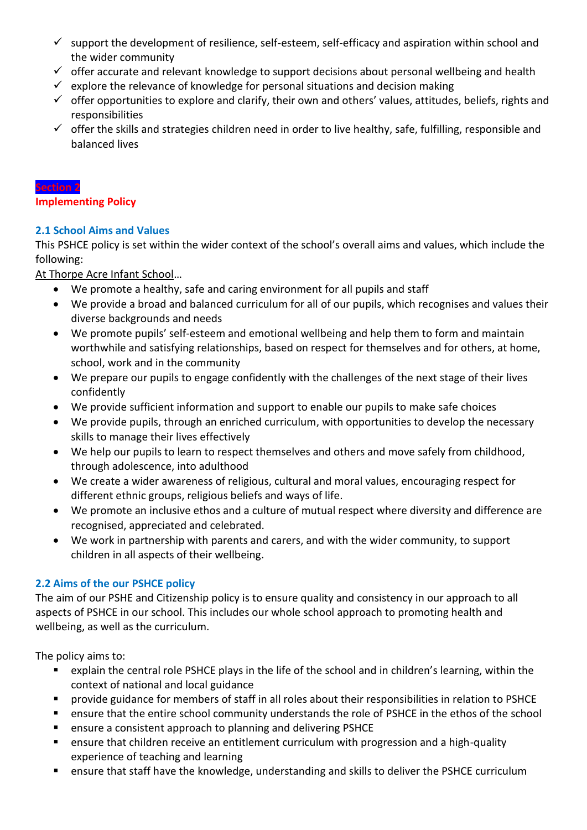- $\checkmark$  support the development of resilience, self-esteem, self-efficacy and aspiration within school and the wider community
- $\checkmark$  offer accurate and relevant knowledge to support decisions about personal wellbeing and health
- $\checkmark$  explore the relevance of knowledge for personal situations and decision making
- $\checkmark$  offer opportunities to explore and clarify, their own and others' values, attitudes, beliefs, rights and responsibilities
- $\checkmark$  offer the skills and strategies children need in order to live healthy, safe, fulfilling, responsible and balanced lives

#### **Section 2**

**Implementing Policy**

# **2.1 School Aims and Values**

This PSHCE policy is set within the wider context of the school's overall aims and values, which include the following:

At Thorpe Acre Infant School…

- We promote a healthy, safe and caring environment for all pupils and staff
- We provide a broad and balanced curriculum for all of our pupils, which recognises and values their diverse backgrounds and needs
- We promote pupils' self-esteem and emotional wellbeing and help them to form and maintain worthwhile and satisfying relationships, based on respect for themselves and for others, at home, school, work and in the community
- We prepare our pupils to engage confidently with the challenges of the next stage of their lives confidently
- We provide sufficient information and support to enable our pupils to make safe choices
- We provide pupils, through an enriched curriculum, with opportunities to develop the necessary skills to manage their lives effectively
- We help our pupils to learn to respect themselves and others and move safely from childhood, through adolescence, into adulthood
- We create a wider awareness of religious, cultural and moral values, encouraging respect for different ethnic groups, religious beliefs and ways of life.
- We promote an inclusive ethos and a culture of mutual respect where diversity and difference are recognised, appreciated and celebrated.
- We work in partnership with parents and carers, and with the wider community, to support children in all aspects of their wellbeing.

# **2.2 Aims of the our PSHCE policy**

The aim of our PSHE and Citizenship policy is to ensure quality and consistency in our approach to all aspects of PSHCE in our school. This includes our whole school approach to promoting health and wellbeing, as well as the curriculum.

The policy aims to:

- explain the central role PSHCE plays in the life of the school and in children's learning, within the context of national and local guidance
- provide guidance for members of staff in all roles about their responsibilities in relation to PSHCE
- ensure that the entire school community understands the role of PSHCE in the ethos of the school
- ensure a consistent approach to planning and delivering PSHCE
- ensure that children receive an entitlement curriculum with progression and a high-quality experience of teaching and learning
- ensure that staff have the knowledge, understanding and skills to deliver the PSHCE curriculum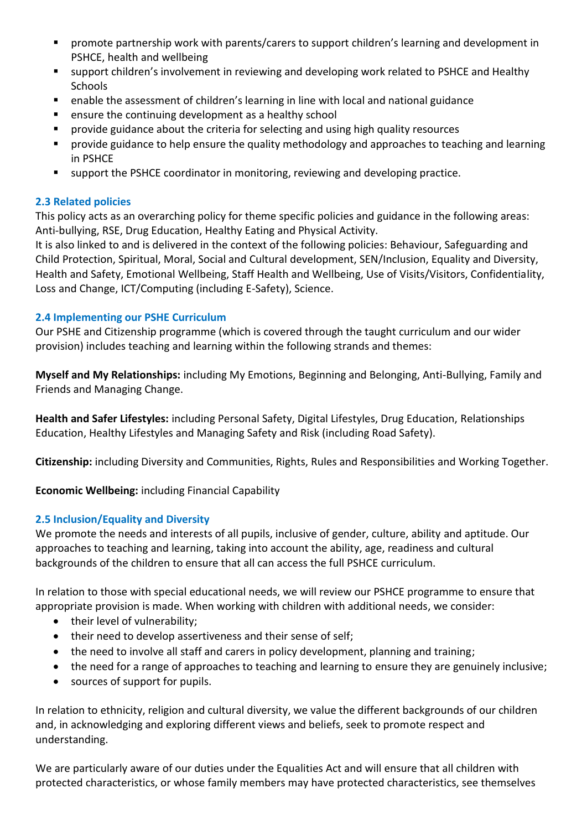- promote partnership work with parents/carers to support children's learning and development in PSHCE, health and wellbeing
- support children's involvement in reviewing and developing work related to PSHCE and Healthy Schools
- enable the assessment of children's learning in line with local and national guidance
- ensure the continuing development as a healthy school
- provide guidance about the criteria for selecting and using high quality resources
- provide guidance to help ensure the quality methodology and approaches to teaching and learning in PSHCE
- support the PSHCE coordinator in monitoring, reviewing and developing practice.

# **2.3 Related policies**

This policy acts as an overarching policy for theme specific policies and guidance in the following areas: Anti-bullying, RSE, Drug Education, Healthy Eating and Physical Activity.

It is also linked to and is delivered in the context of the following policies: Behaviour, Safeguarding and Child Protection, Spiritual, Moral, Social and Cultural development, SEN/Inclusion, Equality and Diversity, Health and Safety, Emotional Wellbeing, Staff Health and Wellbeing, Use of Visits/Visitors, Confidentiality, Loss and Change, ICT/Computing (including E-Safety), Science.

# **2.4 Implementing our PSHE Curriculum**

Our PSHE and Citizenship programme (which is covered through the taught curriculum and our wider provision) includes teaching and learning within the following strands and themes:

**Myself and My Relationships:** including My Emotions, Beginning and Belonging, Anti-Bullying, Family and Friends and Managing Change.

**Health and Safer Lifestyles:** including Personal Safety, Digital Lifestyles, Drug Education, Relationships Education, Healthy Lifestyles and Managing Safety and Risk (including Road Safety).

**Citizenship:** including Diversity and Communities, Rights, Rules and Responsibilities and Working Together.

**Economic Wellbeing:** including Financial Capability

# **2.5 Inclusion/Equality and Diversity**

We promote the needs and interests of all pupils, inclusive of gender, culture, ability and aptitude. Our approaches to teaching and learning, taking into account the ability, age, readiness and cultural backgrounds of the children to ensure that all can access the full PSHCE curriculum.

In relation to those with special educational needs, we will review our PSHCE programme to ensure that appropriate provision is made. When working with children with additional needs, we consider:

- their level of vulnerability;
- their need to develop assertiveness and their sense of self;
- the need to involve all staff and carers in policy development, planning and training;
- the need for a range of approaches to teaching and learning to ensure they are genuinely inclusive;
- sources of support for pupils.

In relation to ethnicity, religion and cultural diversity, we value the different backgrounds of our children and, in acknowledging and exploring different views and beliefs, seek to promote respect and understanding.

We are particularly aware of our duties under the Equalities Act and will ensure that all children with protected characteristics, or whose family members may have protected characteristics, see themselves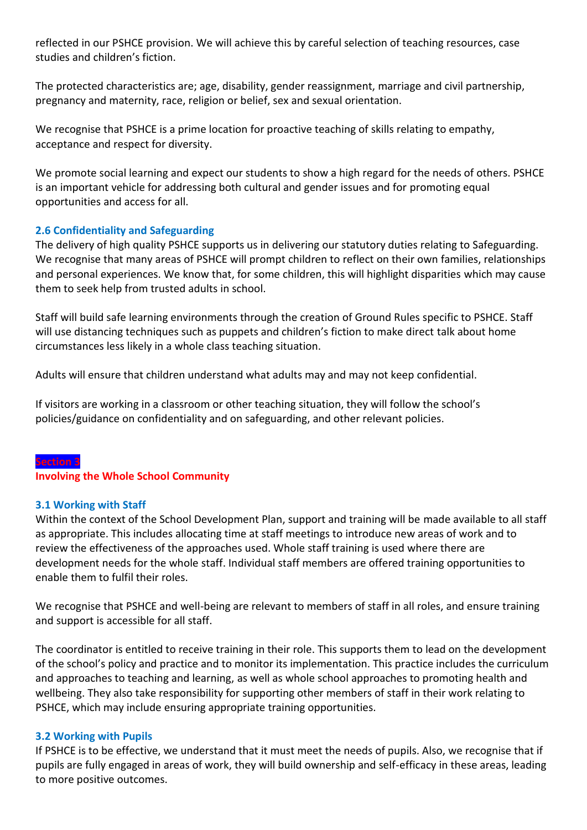reflected in our PSHCE provision. We will achieve this by careful selection of teaching resources, case studies and children's fiction.

The protected characteristics are; age, disability, gender reassignment, marriage and civil partnership, pregnancy and maternity, race, religion or belief, sex and sexual orientation.

We recognise that PSHCE is a prime location for proactive teaching of skills relating to empathy, acceptance and respect for diversity.

We promote social learning and expect our students to show a high regard for the needs of others. PSHCE is an important vehicle for addressing both cultural and gender issues and for promoting equal opportunities and access for all.

# **2.6 Confidentiality and Safeguarding**

The delivery of high quality PSHCE supports us in delivering our statutory duties relating to Safeguarding. We recognise that many areas of PSHCE will prompt children to reflect on their own families, relationships and personal experiences. We know that, for some children, this will highlight disparities which may cause them to seek help from trusted adults in school.

Staff will build safe learning environments through the creation of Ground Rules specific to PSHCE. Staff will use distancing techniques such as puppets and children's fiction to make direct talk about home circumstances less likely in a whole class teaching situation.

Adults will ensure that children understand what adults may and may not keep confidential.

If visitors are working in a classroom or other teaching situation, they will follow the school's policies/guidance on confidentiality and on safeguarding, and other relevant policies.

# **Section 3 Involving the Whole School Community**

### **3.1 Working with Staff**

Within the context of the School Development Plan, support and training will be made available to all staff as appropriate. This includes allocating time at staff meetings to introduce new areas of work and to review the effectiveness of the approaches used. Whole staff training is used where there are development needs for the whole staff. Individual staff members are offered training opportunities to enable them to fulfil their roles.

We recognise that PSHCE and well-being are relevant to members of staff in all roles, and ensure training and support is accessible for all staff.

The coordinator is entitled to receive training in their role. This supports them to lead on the development of the school's policy and practice and to monitor its implementation. This practice includes the curriculum and approaches to teaching and learning, as well as whole school approaches to promoting health and wellbeing. They also take responsibility for supporting other members of staff in their work relating to PSHCE, which may include ensuring appropriate training opportunities.

# **3.2 Working with Pupils**

If PSHCE is to be effective, we understand that it must meet the needs of pupils. Also, we recognise that if pupils are fully engaged in areas of work, they will build ownership and self-efficacy in these areas, leading to more positive outcomes.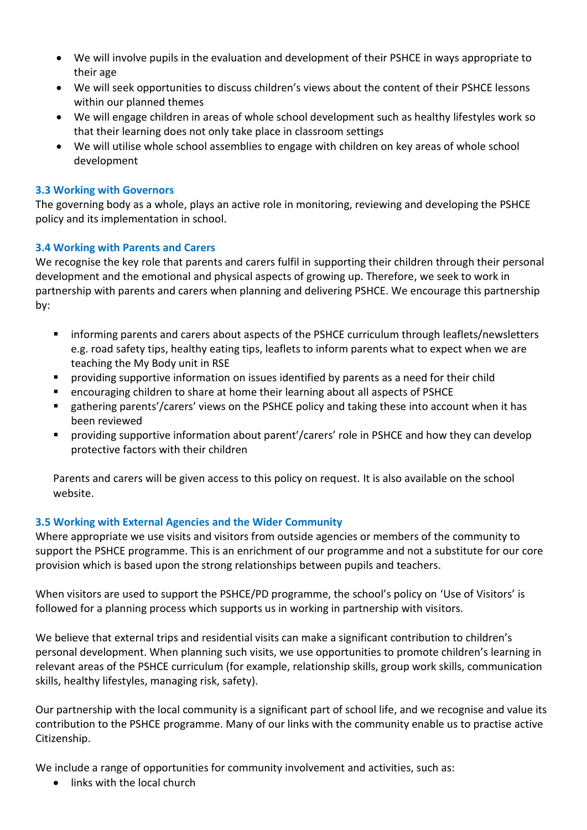- We will involve pupils in the evaluation and development of their PSHCE in ways appropriate to their age
- We will seek opportunities to discuss children's views about the content of their PSHCE lessons within our planned themes
- We will engage children in areas of whole school development such as healthy lifestyles work so that their learning does not only take place in classroom settings
- We will utilise whole school assemblies to engage with children on key areas of whole school development

# **3.3 Working with Governors**

The governing body as a whole, plays an active role in monitoring, reviewing and developing the PSHCE policy and its implementation in school.

# **3.4 Working with Parents and Carers**

We recognise the key role that parents and carers fulfil in supporting their children through their personal development and the emotional and physical aspects of growing up. Therefore, we seek to work in partnership with parents and carers when planning and delivering PSHCE. We encourage this partnership by:

- informing parents and carers about aspects of the PSHCE curriculum through leaflets/newsletters e.g. road safety tips, healthy eating tips, leaflets to inform parents what to expect when we are teaching the My Body unit in RSE
- **•** providing supportive information on issues identified by parents as a need for their child
- encouraging children to share at home their learning about all aspects of PSHCE
- gathering parents'/carers' views on the PSHCE policy and taking these into account when it has been reviewed
- providing supportive information about parent'/carers' role in PSHCE and how they can develop protective factors with their children

Parents and carers will be given access to this policy on request. It is also available on the school website.

# **3.5 Working with External Agencies and the Wider Community**

Where appropriate we use visits and visitors from outside agencies or members of the community to support the PSHCE programme. This is an enrichment of our programme and not a substitute for our core provision which is based upon the strong relationships between pupils and teachers.

When visitors are used to support the PSHCE/PD programme, the school's policy on 'Use of Visitors' is followed for a planning process which supports us in working in partnership with visitors.

We believe that external trips and residential visits can make a significant contribution to children's personal development. When planning such visits, we use opportunities to promote children's learning in relevant areas of the PSHCE curriculum (for example, relationship skills, group work skills, communication skills, healthy lifestyles, managing risk, safety).

Our partnership with the local community is a significant part of school life, and we recognise and value its contribution to the PSHCE programme. Many of our links with the community enable us to practise active Citizenship.

We include a range of opportunities for community involvement and activities, such as:

• links with the local church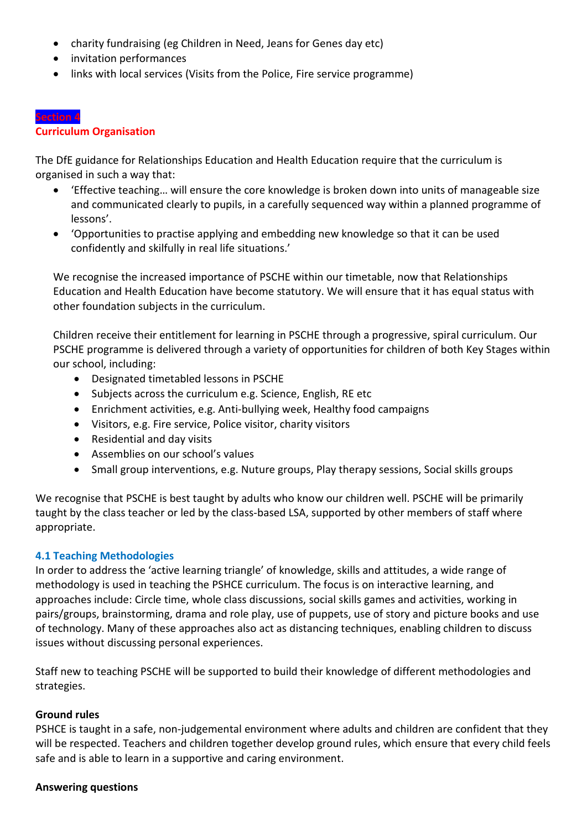- charity fundraising (eg Children in Need, Jeans for Genes day etc)
- invitation performances
- links with local services (Visits from the Police, Fire service programme)

# **Curriculum Organisation**

The DfE guidance for Relationships Education and Health Education require that the curriculum is organised in such a way that:

- 'Effective teaching… will ensure the core knowledge is broken down into units of manageable size and communicated clearly to pupils, in a carefully sequenced way within a planned programme of lessons'.
- 'Opportunities to practise applying and embedding new knowledge so that it can be used confidently and skilfully in real life situations.'

We recognise the increased importance of PSCHE within our timetable, now that Relationships Education and Health Education have become statutory. We will ensure that it has equal status with other foundation subjects in the curriculum.

Children receive their entitlement for learning in PSCHE through a progressive, spiral curriculum. Our PSCHE programme is delivered through a variety of opportunities for children of both Key Stages within our school, including:

- Designated timetabled lessons in PSCHE
- Subjects across the curriculum e.g. Science, English, RE etc
- Enrichment activities, e.g. Anti-bullying week, Healthy food campaigns
- Visitors, e.g. Fire service, Police visitor, charity visitors
- Residential and day visits
- Assemblies on our school's values
- Small group interventions, e.g. Nuture groups, Play therapy sessions, Social skills groups

We recognise that PSCHE is best taught by adults who know our children well. PSCHE will be primarily taught by the class teacher or led by the class-based LSA, supported by other members of staff where appropriate.

# **4.1 Teaching Methodologies**

In order to address the 'active learning triangle' of knowledge, skills and attitudes, a wide range of methodology is used in teaching the PSHCE curriculum. The focus is on interactive learning, and approaches include: Circle time, whole class discussions, social skills games and activities, working in pairs/groups, brainstorming, drama and role play, use of puppets, use of story and picture books and use of technology. Many of these approaches also act as distancing techniques, enabling children to discuss issues without discussing personal experiences.

Staff new to teaching PSCHE will be supported to build their knowledge of different methodologies and strategies.

### **Ground rules**

PSHCE is taught in a safe, non-judgemental environment where adults and children are confident that they will be respected. Teachers and children together develop ground rules, which ensure that every child feels safe and is able to learn in a supportive and caring environment.

### **Answering questions**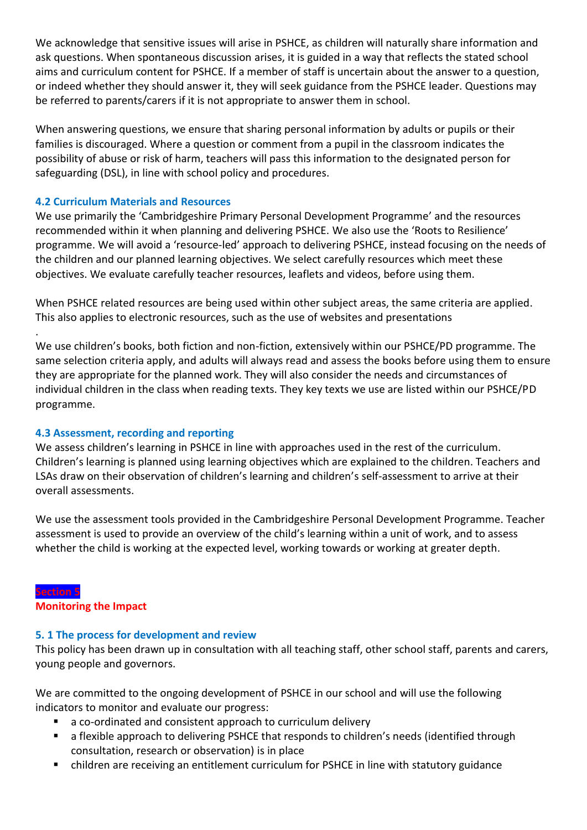We acknowledge that sensitive issues will arise in PSHCE, as children will naturally share information and ask questions. When spontaneous discussion arises, it is guided in a way that reflects the stated school aims and curriculum content for PSHCE. If a member of staff is uncertain about the answer to a question, or indeed whether they should answer it, they will seek guidance from the PSHCE leader. Questions may be referred to parents/carers if it is not appropriate to answer them in school.

When answering questions, we ensure that sharing personal information by adults or pupils or their families is discouraged. Where a question or comment from a pupil in the classroom indicates the possibility of abuse or risk of harm, teachers will pass this information to the designated person for safeguarding (DSL), in line with school policy and procedures.

# **4.2 Curriculum Materials and Resources**

We use primarily the 'Cambridgeshire Primary Personal Development Programme' and the resources recommended within it when planning and delivering PSHCE. We also use the 'Roots to Resilience' programme. We will avoid a 'resource-led' approach to delivering PSHCE, instead focusing on the needs of the children and our planned learning objectives. We select carefully resources which meet these objectives. We evaluate carefully teacher resources, leaflets and videos, before using them.

When PSHCE related resources are being used within other subject areas, the same criteria are applied. This also applies to electronic resources, such as the use of websites and presentations

We use children's books, both fiction and non-fiction, extensively within our PSHCE/PD programme. The same selection criteria apply, and adults will always read and assess the books before using them to ensure they are appropriate for the planned work. They will also consider the needs and circumstances of individual children in the class when reading texts. They key texts we use are listed within our PSHCE/PD programme.

### **4.3 Assessment, recording and reporting**

We assess children's learning in PSHCE in line with approaches used in the rest of the curriculum. Children's learning is planned using learning objectives which are explained to the children. Teachers and LSAs draw on their observation of children's learning and children's self-assessment to arrive at their overall assessments.

We use the assessment tools provided in the Cambridgeshire Personal Development Programme. Teacher assessment is used to provide an overview of the child's learning within a unit of work, and to assess whether the child is working at the expected level, working towards or working at greater depth.

### **Section 5 Monitoring the Impact**

.

### **5. 1 The process for development and review**

This policy has been drawn up in consultation with all teaching staff, other school staff, parents and carers, young people and governors.

We are committed to the ongoing development of PSHCE in our school and will use the following indicators to monitor and evaluate our progress:

- a co-ordinated and consistent approach to curriculum delivery
- a flexible approach to delivering PSHCE that responds to children's needs (identified through consultation, research or observation) is in place
- children are receiving an entitlement curriculum for PSHCE in line with statutory guidance